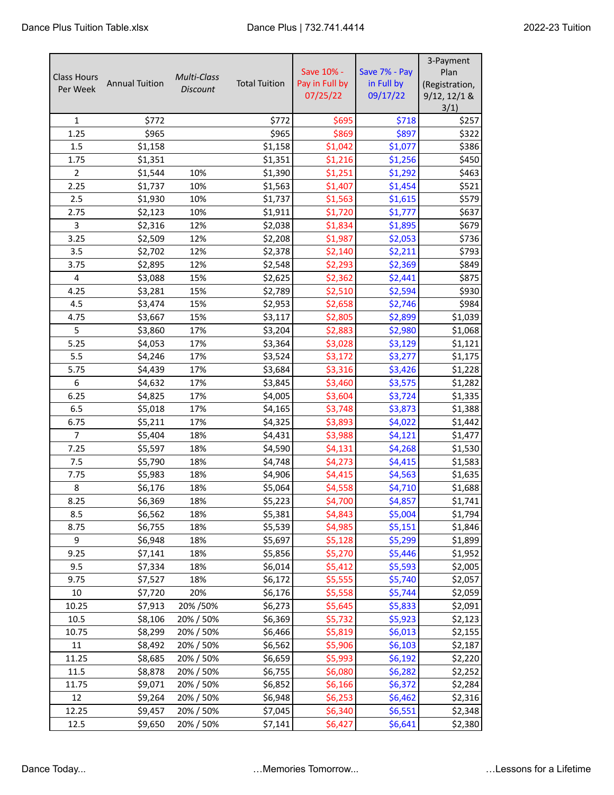| <b>Class Hours</b><br>Per Week | <b>Annual Tuition</b> | <b>Multi-Class</b><br><b>Discount</b> | <b>Total Tuition</b> | Save 10% -<br>Pay in Full by<br>07/25/22 | Save 7% - Pay<br>in Full by<br>09/17/22 | 3-Payment<br>Plan<br>(Registration,<br>9/12, 12/1 & |
|--------------------------------|-----------------------|---------------------------------------|----------------------|------------------------------------------|-----------------------------------------|-----------------------------------------------------|
|                                |                       |                                       |                      |                                          |                                         | 3/1)                                                |
| $\mathbf{1}$                   | \$772                 |                                       | \$772                | \$695                                    | \$718                                   | \$257                                               |
| 1.25<br>1.5                    | \$965                 |                                       | \$965<br>\$1,158     | \$869                                    | \$897                                   | \$322<br>\$386                                      |
| 1.75                           | \$1,158<br>\$1,351    |                                       | \$1,351              | \$1,042<br>\$1,216                       | \$1,077<br>\$1,256                      | \$450                                               |
| $\overline{2}$                 | \$1,544               | 10%                                   |                      | \$1,251                                  | \$1,292                                 | \$463                                               |
| 2.25                           | \$1,737               | 10%                                   | \$1,390<br>\$1,563   | \$1,407                                  | \$1,454                                 | \$521                                               |
| 2.5                            |                       | 10%                                   | \$1,737              | \$1,563                                  |                                         | \$579                                               |
| 2.75                           | \$1,930<br>\$2,123    | 10%                                   | \$1,911              | \$1,720                                  | \$1,615<br>\$1,777                      | \$637                                               |
| 3                              | \$2,316               | 12%                                   | \$2,038              | \$1,834                                  | \$1,895                                 | \$679                                               |
| 3.25                           | \$2,509               | 12%                                   | \$2,208              | \$1,987                                  | \$2,053                                 | \$736                                               |
| 3.5                            | \$2,702               | 12%                                   | \$2,378              | \$2,140                                  | \$2,211                                 | \$793                                               |
| 3.75                           | \$2,895               | 12%                                   | \$2,548              | \$2,293                                  | \$2,369                                 | \$849                                               |
| 4                              | \$3,088               | 15%                                   | \$2,625              | \$2,362                                  | \$2,441                                 | \$875                                               |
| 4.25                           | \$3,281               | 15%                                   | \$2,789              | \$2,510                                  | \$2,594                                 | \$930                                               |
| 4.5                            | \$3,474               | 15%                                   | \$2,953              | \$2,658                                  | \$2,746                                 | \$984                                               |
| 4.75                           | \$3,667               | 15%                                   | \$3,117              | \$2,805                                  | \$2,899                                 | \$1,039                                             |
| 5                              | \$3,860               | 17%                                   | \$3,204              | \$2,883                                  | \$2,980                                 | \$1,068                                             |
| 5.25                           | \$4,053               | 17%                                   | \$3,364              | \$3,028                                  | \$3,129                                 | \$1,121                                             |
| 5.5                            | \$4,246               | 17%                                   | \$3,524              | \$3,172                                  | \$3,277                                 | \$1,175                                             |
| 5.75                           | \$4,439               | 17%                                   | \$3,684              | \$3,316                                  | \$3,426                                 | \$1,228                                             |
| 6                              | \$4,632               | 17%                                   | \$3,845              | \$3,460                                  | \$3,575                                 | \$1,282                                             |
| 6.25                           | \$4,825               | 17%                                   | \$4,005              | \$3,604                                  | \$3,724                                 | \$1,335                                             |
| 6.5                            | \$5,018               | 17%                                   | \$4,165              | \$3,748                                  | \$3,873                                 | \$1,388                                             |
| 6.75                           | \$5,211               | 17%                                   | \$4,325              | \$3,893                                  | \$4,022                                 | \$1,442                                             |
| $\overline{7}$                 | \$5,404               | 18%                                   | \$4,431              | \$3,988                                  | \$4,121                                 | \$1,477                                             |
| 7.25                           | \$5,597               | 18%                                   | \$4,590              | \$4,131                                  | \$4,268                                 | \$1,530                                             |
| 7.5                            | \$5,790               | 18%                                   | \$4,748              | \$4,273                                  | \$4,415                                 | \$1,583                                             |
| 7.75                           | \$5,983               | 18%                                   | \$4,906              | \$4,415                                  | \$4,563                                 | \$1,635                                             |
| 8                              | \$6,176               | 18%                                   | \$5,064              | \$4,558                                  | \$4,710                                 | \$1,688                                             |
| 8.25                           | \$6,369               | 18%                                   | \$5,223              | \$4,700                                  | \$4,857                                 | \$1,741                                             |
| 8.5                            | \$6,562               | 18%                                   | \$5,381              | \$4,843                                  | \$5,004                                 | \$1,794                                             |
| 8.75                           | \$6,755               | 18%                                   | \$5,539              | \$4,985                                  | \$5,151                                 | \$1,846                                             |
| 9                              | \$6,948               | 18%                                   | \$5,697              | \$5,128                                  | \$5,299                                 | \$1,899                                             |
| 9.25                           | \$7,141               | 18%                                   | \$5,856              | \$5,270                                  | \$5,446                                 | \$1,952                                             |
| 9.5                            | \$7,334               | 18%                                   | \$6,014              | \$5,412                                  | \$5,593                                 | \$2,005                                             |
| 9.75                           | \$7,527               | 18%                                   | \$6,172              | \$5,555                                  | \$5,740                                 | \$2,057                                             |
| 10                             | \$7,720               | 20%                                   | \$6,176              | \$5,558                                  | \$5,744                                 | \$2,059                                             |
| 10.25                          | \$7,913               | 20% / 50%                             | \$6,273              | \$5,645                                  | \$5,833                                 | \$2,091                                             |
| 10.5                           | \$8,106               | 20% / 50%                             | \$6,369              | \$5,732                                  | \$5,923                                 | \$2,123                                             |
| 10.75                          | \$8,299               | 20% / 50%                             | \$6,466              | \$5,819                                  | \$6,013                                 | \$2,155                                             |
| 11                             | \$8,492               | 20% / 50%                             | \$6,562              | \$5,906                                  | \$6,103                                 | \$2,187                                             |
| 11.25                          | \$8,685               | 20% / 50%                             | \$6,659              | \$5,993                                  | \$6,192                                 | \$2,220                                             |
| 11.5                           | \$8,878               | 20% / 50%                             | \$6,755              | \$6,080                                  | \$6,282                                 | \$2,252                                             |
| 11.75                          | \$9,071               | 20% / 50%                             | \$6,852              | \$6,166                                  | \$6,372                                 | \$2,284                                             |
| 12                             | \$9,264               | 20% / 50%                             | \$6,948              | \$6,253                                  | \$6,462                                 | \$2,316                                             |
| 12.25                          | \$9,457               | 20% / 50%                             | \$7,045              | \$6,340                                  | \$6,551                                 | \$2,348                                             |
| 12.5                           | \$9,650               | 20% / 50%                             | \$7,141              | \$6,427                                  | \$6,641                                 | \$2,380                                             |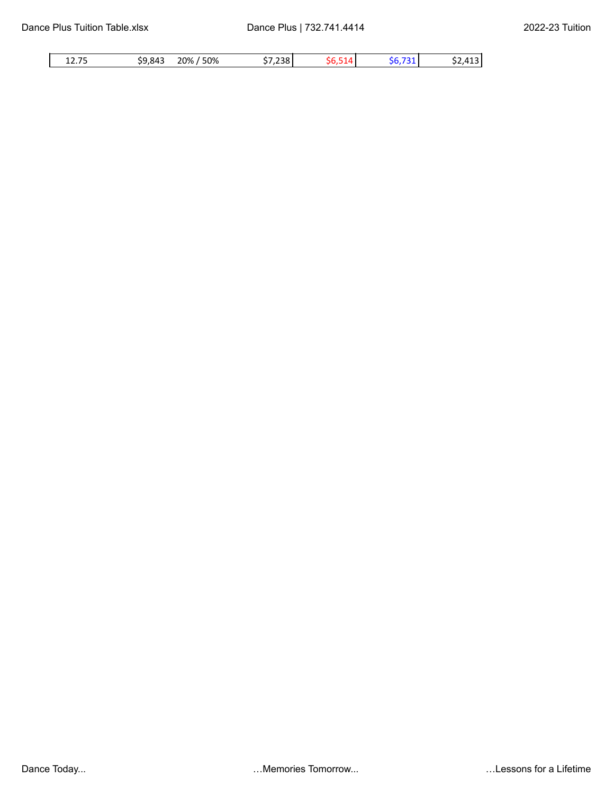| 12.75 | \$9,843 | 20% / 50% | \$7,238 | ٦n | \$6.731 | .413 I<br>، ے د |
|-------|---------|-----------|---------|----|---------|-----------------|